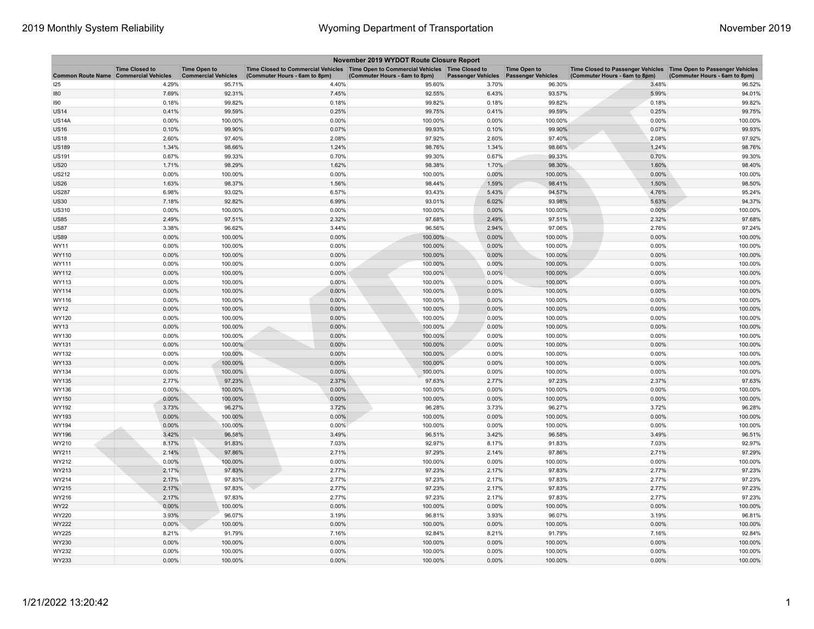| November 2019 WYDOT Route Closure Report |                                                     |                                                   |                                                                                                                       |                               |                           |                                                  |                                                                                                      |                               |  |
|------------------------------------------|-----------------------------------------------------|---------------------------------------------------|-----------------------------------------------------------------------------------------------------------------------|-------------------------------|---------------------------|--------------------------------------------------|------------------------------------------------------------------------------------------------------|-------------------------------|--|
| <b>Common Route Name</b>                 | <b>Time Closed to</b><br><b>Commercial Vehicles</b> | <b>Time Open to</b><br><b>Commercial Vehicles</b> | Time Closed to Commercial Vehicles  Time Open to Commercial Vehicles  Time Closed to<br>(Commuter Hours - 6am to 8pm) | (Commuter Hours - 6am to 8pm) | <b>Passenger Vehicles</b> | <b>Time Open to</b><br><b>Passenger Vehicles</b> | Time Closed to Passenger Vehicles   Time Open to Passenger Vehicles<br>(Commuter Hours - 6am to 8pm) | (Commuter Hours - 6am to 8pm) |  |
| 125                                      | 4.29%                                               | 95.71%                                            | 4.40%                                                                                                                 | 95.60%                        | 3.70%                     | 96.30%                                           | 3.48%                                                                                                | 96.52%                        |  |
| 180                                      | 7.69%                                               | 92.31%                                            | 7.45%                                                                                                                 | 92.55%                        | 6.43%                     | 93.57%                                           | 5.99%                                                                                                | 94.01%                        |  |
| 90                                       | 0.18%                                               | 99.82%                                            | 0.18%                                                                                                                 | 99.82%                        | 0.18%                     | 99.82%                                           | 0.18%                                                                                                | 99.82%                        |  |
| <b>JS14</b>                              | 0.41%                                               | 99.59%                                            | 0.25%                                                                                                                 | 99.75%                        | 0.41%                     | 99.59%                                           | 0.25%                                                                                                | 99.75%                        |  |
| US14A                                    | 0.00%                                               | 100.00%                                           | 0.00%                                                                                                                 | 100.00%                       | 0.00%                     | 100.00%                                          | 0.00%                                                                                                | 100.00%                       |  |
| <b>JS16</b>                              | 0.10%                                               | 99.90%                                            | 0.07%                                                                                                                 | 99.93%                        | 0.10%                     | 99.90%                                           | 0.07%                                                                                                | 99.93%                        |  |
| <b>JS18</b>                              | 2.60%                                               | 97.40%                                            | 2.08%                                                                                                                 | 97.92%                        | 2.60%                     | 97.40%                                           | 2.08%                                                                                                | 97.92%                        |  |
| US189                                    | 1.34%                                               | 98.66%                                            | 1.24%                                                                                                                 | 98.76%                        | 1.34%                     | 98.66%                                           | 1.24%                                                                                                | 98.76%                        |  |
| <b>US191</b>                             | 0.67%                                               | 99.33%                                            | 0.70%                                                                                                                 | 99.30%                        | 0.67%                     | 99.33%                                           | 0.70%                                                                                                | 99.30%                        |  |
| <b>JS20</b>                              | 1.71%                                               | 98.29%                                            | 1.62%                                                                                                                 | 98.38%                        | 1.70%                     | 98.30%                                           | 1.60%                                                                                                | 98.40%                        |  |
| <b>US212</b>                             | 0.00%                                               | 100.00%                                           | 0.00%                                                                                                                 | 100.00%                       | 0.00%                     | 100.00%                                          | 0.00%                                                                                                | 100.00%                       |  |
| US26                                     | 1.63%                                               | 98.37%                                            | 1.56%                                                                                                                 | 98.44%                        | 1.59%                     | 98.41%                                           | 1.50%                                                                                                | 98.50%                        |  |
| <b>US287</b>                             | 6.98%                                               | 93.02%                                            | 6.57%                                                                                                                 | 93.43%                        | 5.43%                     | 94.57%                                           | 4.76%                                                                                                | 95.24%                        |  |
| <b>JS30</b>                              | 7.18%                                               | 92.82%                                            | 6.99%                                                                                                                 | 93.01%                        | 6.02%                     | 93.98%                                           | 5.63%                                                                                                | 94.37%                        |  |
| US310                                    | 0.00%                                               | 100.00%                                           | 0.00%                                                                                                                 | 100.00%                       | 0.00%                     | 100.00%                                          | 0.00%                                                                                                | 100.00%                       |  |
| <b>US85</b>                              | 2.49%                                               | 97.51%                                            | 2.32%                                                                                                                 | 97.68%                        | 2.49%                     | 97.51%                                           | 2.32%                                                                                                | 97.68%                        |  |
| <b>JS87</b>                              | 3.38%                                               | 96.62%                                            | 3.44%                                                                                                                 | 96.56%                        | 2.94%                     | 97.06%                                           | 2.76%                                                                                                | 97.24%                        |  |
| <b>JS89</b>                              | 0.00%                                               | 100.00%                                           | 0.00%                                                                                                                 | 100.00%                       | 0.00%                     | 100.00%                                          | 0.00%                                                                                                | 100.00%                       |  |
| WY11                                     | 0.00%                                               | 100.00%                                           | 0.00%                                                                                                                 | 100.00%                       | 0.00%                     | 100.00%                                          | 0.00%                                                                                                | 100.00%                       |  |
| WY110                                    | 0.00%                                               | 100.00%                                           | 0.00%                                                                                                                 | 100.00%                       | 0.00%                     | 100.00%                                          | 0.00%                                                                                                | 100.00%                       |  |
| WY111                                    | 0.00%                                               | 100.00%                                           | 0.00%                                                                                                                 | 100.00%                       | 0.00%                     | 100.00%                                          | 0.00%                                                                                                | 100.00%                       |  |
| WY112                                    | 0.00%                                               | 100.00%                                           | 0.00%                                                                                                                 | 100.00%                       | 0.00%                     | 100.00%                                          | 0.00%                                                                                                | 100.00%                       |  |
| WY113                                    | 0.00%                                               | 100.00%                                           | 0.00%                                                                                                                 | 100.00%                       | 0.00%                     | 100.00%                                          | 0.00%                                                                                                | 100.00%                       |  |
| WY114                                    | 0.00%                                               | 100.00%                                           | 0.00%                                                                                                                 | 100.00%                       | 0.00%                     | 100.00%                                          | 0.00%                                                                                                | 100.00%                       |  |
| WY116                                    | 0.00%                                               | 100.00%                                           | 0.00%                                                                                                                 | 100.00%                       | 0.00%                     | 100.00%                                          | 0.00%                                                                                                | 100.00%                       |  |
| WY12                                     | 0.00%                                               | 100.00%                                           | 0.00%                                                                                                                 | 100.00%                       | 0.00%                     | 100.00%                                          | 0.00%                                                                                                | 100.00%                       |  |
| WY120                                    | 0.00%                                               | 100.00%                                           | 0.00%                                                                                                                 | 100.00%                       | 0.00%                     | 100.00%                                          | 0.00%                                                                                                | 100.00%                       |  |
| WY13                                     | 0.00%                                               | 100.00%                                           | 0.00%                                                                                                                 | 100.00%                       | 0.00%                     | 100.00%                                          | 0.00%                                                                                                | 100.00%                       |  |
| WY130                                    | 0.00%                                               | 100.00%                                           | 0.00%                                                                                                                 | 100.00%                       | 0.00%                     | 100.00%                                          | 0.00%                                                                                                | 100.00%                       |  |
| WY131                                    | 0.00%                                               | 100.00%                                           | 0.00%                                                                                                                 | 100.00%                       | 0.00%                     | 100.00%                                          | 0.00%                                                                                                | 100.00%                       |  |
| WY132                                    | 0.00%                                               | 100.00%                                           | 0.00%                                                                                                                 | 100.00%                       | 0.00%                     | 100.00%                                          | 0.00%                                                                                                | 100.00%                       |  |
| WY133                                    | 0.00%                                               | 100.00%                                           | 0.00%                                                                                                                 | 100.00%                       | 0.00%                     | 100.00%                                          | 0.00%                                                                                                | 100.00%                       |  |
| WY134                                    | 0.00%                                               | 100.00%                                           | 0.00%                                                                                                                 | 100.00%                       | 0.00%                     | 100.00%                                          | 0.00%                                                                                                | 100.00%                       |  |
| WY135                                    | 2.77%                                               | 97.23%                                            | 2.37%                                                                                                                 | 97.63%                        | 2.77%                     | 97.23%                                           | 2.37%                                                                                                | 97.63%                        |  |
| WY136                                    | $0.00\%$                                            | 100.00%                                           | 0.00%                                                                                                                 | 100.00%                       | 0.00%                     | 100.00%                                          | 0.00%                                                                                                | 100.00%                       |  |
| WY150                                    | 0.00%                                               | 100.00%                                           | 0.00%                                                                                                                 | 100.00%                       | 0.00%                     | 100.00%                                          | 0.00%                                                                                                | 100.00%                       |  |
| WY192                                    | 3.73%                                               | 96.27%                                            | 3.72%                                                                                                                 | 96.28%                        | 3.73%                     | 96.27%                                           | 3.72%                                                                                                | 96.28%                        |  |
| WY193                                    | 0.00%                                               | 100.00%                                           | 0.00%                                                                                                                 | 100.00%                       | 0.00%                     | 100.00%                                          | 0.00%                                                                                                | 100.00%                       |  |
| WY194                                    | 0.00%                                               | 100.00%                                           | 0.00%                                                                                                                 | 100.00%                       | 0.00%                     | 100.00%                                          | 0.00%                                                                                                | 100.00%                       |  |
| WY196                                    | 3.42%                                               | 96.58%                                            | 3.49%                                                                                                                 | 96.51%                        | 3.42%                     | 96.58%                                           | 3.49%                                                                                                | 96.51%                        |  |
| WY210                                    | 8.17%                                               | 91.83%                                            | 7.03%                                                                                                                 | 92.97%                        | 8.17%                     | 91.83%                                           | 7.03%                                                                                                | 92.97%                        |  |
| WY211                                    | 2.14%                                               | 97.86%                                            | 2.71%                                                                                                                 | 97.29%                        | 2.14%                     | 97.86%                                           | 2.71%                                                                                                | 97.29%                        |  |
| WY212                                    | 0.00%                                               | 100.00%                                           | 0.00%                                                                                                                 | 100.00%                       | 0.00%                     | 100.00%                                          | 0.00%                                                                                                | 100.00%                       |  |
| WY213                                    | 2.17%                                               | 97.83%                                            | 2.77%                                                                                                                 | 97.23%                        | 2.17%                     | 97.83%                                           | 2.77%                                                                                                | 97.23%                        |  |
| WY214                                    | 2.17%                                               | 97.83%                                            | 2.77%                                                                                                                 | 97.23%                        | 2.17%                     | 97.83%                                           | 2.77%                                                                                                | 97.23%                        |  |
| WY215                                    | 2.17%                                               | 97.83%                                            | 2.77%                                                                                                                 | 97.23%                        | 2.17%                     | 97.83%                                           | 2.77%                                                                                                | 97.23%                        |  |
| WY216                                    | 2.17%                                               | 97.83%                                            | 2.77%                                                                                                                 | 97.23%                        | 2.17%                     | 97.83%                                           | 2.77%                                                                                                | 97.23%                        |  |
| WY22                                     | 0.00%                                               | 100.00%                                           | 0.00%                                                                                                                 | 100.00%                       | 0.00%                     | 100.00%                                          | 0.00%                                                                                                | 100.00%                       |  |
| WY220                                    | 3.93%                                               | 96.07%                                            | 3.19%                                                                                                                 | 96.81%                        | 3.93%                     | 96.07%                                           | 3.19%                                                                                                | 96.81%                        |  |
| WY222                                    | 0.00%                                               | 100.00%                                           | 0.00%                                                                                                                 | 100.00%                       | 0.00%                     | 100.00%                                          | 0.00%                                                                                                | 100.00%                       |  |
| WY225                                    | 8.21%                                               | 91.79%                                            | 7.16%                                                                                                                 | 92.84%                        | 8.21%                     | 91.79%                                           | 7.16%                                                                                                | 92.84%                        |  |
| WY230                                    | 0.00%                                               | 100.00%                                           | 0.00%                                                                                                                 | 100.00%                       | 0.00%                     | 100.00%                                          | 0.00%                                                                                                | 100.00%                       |  |
| WY232                                    | 0.00%                                               | 100.00%                                           | 0.00%                                                                                                                 | 100.00%                       | 0.00%                     | 100.00%                                          | 0.00%                                                                                                | 100.00%                       |  |
| WY233                                    | 0.00%                                               | 100.00%                                           | 0.00%                                                                                                                 | 100.00%                       | 0.00%                     | 100.00%                                          | 0.00%                                                                                                | 100.00%                       |  |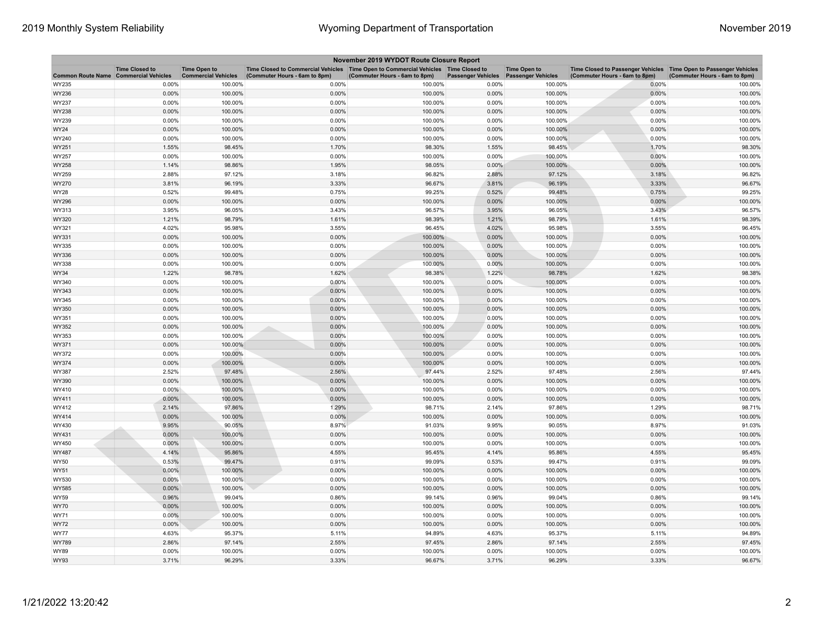| November 2019 WYDOT Route Closure Report |                                                     |                                                   |                                                                                                                         |                               |                           |                                                  |                                                                                                      |                               |  |
|------------------------------------------|-----------------------------------------------------|---------------------------------------------------|-------------------------------------------------------------------------------------------------------------------------|-------------------------------|---------------------------|--------------------------------------------------|------------------------------------------------------------------------------------------------------|-------------------------------|--|
| <b>Common Route Name</b>                 | <b>Time Closed to</b><br><b>Commercial Vehicles</b> | <b>Time Open to</b><br><b>Commercial Vehicles</b> | Time Closed to Commercial Vehicles   Time Open to Commercial Vehicles   Time Closed to<br>(Commuter Hours - 6am to 8pm) | (Commuter Hours - 6am to 8pm) | <b>Passenger Vehicles</b> | <b>Time Open to</b><br><b>Passenger Vehicles</b> | Time Closed to Passenger Vehicles   Time Open to Passenger Vehicles<br>(Commuter Hours - 6am to 8pm) | (Commuter Hours - 6am to 8pm) |  |
| WY235                                    | 0.00%                                               | 100.00%                                           | 0.00%                                                                                                                   | 100.00%                       | 0.00%                     | 100.00%                                          | 0.00%                                                                                                | 100.00%                       |  |
| WY236                                    | 0.00%                                               | 100.00%                                           | 0.00%                                                                                                                   | 100.00%                       | 0.00%                     | 100.00%                                          | 0.00%                                                                                                | 100.00%                       |  |
| WY237                                    | 0.00%                                               | 100.00%                                           | 0.00%                                                                                                                   | 100.00%                       | 0.00%                     | 100.00%                                          | 0.00%                                                                                                | 100.00%                       |  |
| WY238                                    | 0.00%                                               | 100.00%                                           | 0.00%                                                                                                                   | 100.00%                       | 0.00%                     | 100.00%                                          | 0.00%                                                                                                | 100.00%                       |  |
| WY239                                    | 0.00%                                               | 100.00%                                           | 0.00%                                                                                                                   | 100.00%                       | 0.00%                     | 100.00%                                          | 0.00%                                                                                                | 100.00%                       |  |
| WY24                                     | 0.00%                                               | 100.00%                                           | 0.00%                                                                                                                   | 100.00%                       | 0.00%                     | 100.00%                                          | 0.00%                                                                                                | 100.00%                       |  |
| WY240                                    | 0.00%                                               | 100.00%                                           | 0.00%                                                                                                                   | 100.00%                       | 0.00%                     | 100.00%                                          | 0.00%                                                                                                | 100.00%                       |  |
| WY251                                    | 1.55%                                               | 98.45%                                            | 1.70%                                                                                                                   | 98.30%                        | 1.55%                     | 98.45%                                           | 1.70%                                                                                                | 98.30%                        |  |
| WY257                                    | 0.00%                                               | 100.00%                                           | 0.00%                                                                                                                   | 100.00%                       | 0.00%                     | 100.00%                                          | 0.00%                                                                                                | 100.00%                       |  |
| WY258                                    | 1.14%                                               | 98.86%                                            | 1.95%                                                                                                                   | 98.05%                        | 0.00%                     | 100.00%                                          | 0.00%                                                                                                | 100.00%                       |  |
| WY259                                    | 2.88%                                               | 97.12%                                            | 3.18%                                                                                                                   | 96.82%                        | 2.88%                     | 97.12%                                           | 3.18%                                                                                                | 96.82%                        |  |
| WY270                                    | 3.81%                                               | 96.19%                                            | 3.33%                                                                                                                   | 96.67%                        | 3.81%                     | 96.19%                                           | 3.33%                                                                                                | 96.67%                        |  |
| WY28                                     | 0.52%                                               | 99.48%                                            | 0.75%                                                                                                                   | 99.25%                        | 0.52%                     | 99.48%                                           | 0.75%                                                                                                | 99.25%                        |  |
| WY296                                    | 0.00%                                               | 100.00%                                           | 0.00%                                                                                                                   | 100.00%                       | 0.00%                     | 100.00%                                          | 0.00%                                                                                                | 100.00%                       |  |
| WY313                                    | 3.95%                                               | 96.05%                                            | 3.43%                                                                                                                   | 96.57%                        | 3.95%                     | 96.05%                                           | 3.43%                                                                                                | 96.57%                        |  |
| WY320                                    | 1.21%                                               | 98.79%                                            | 1.61%                                                                                                                   | 98.39%                        | 1.21%                     | 98.79%                                           | 1.61%                                                                                                | 98.39%                        |  |
| WY321                                    | 4.02%                                               | 95.98%                                            | 3.55%                                                                                                                   | 96.45%                        | 4.02%                     | 95.98%                                           | 3.55%                                                                                                | 96.45%                        |  |
| WY331                                    | 0.00%                                               | 100.00%                                           | 0.00%                                                                                                                   | 100.00%                       | 0.00%                     | 100.00%                                          | 0.00%                                                                                                | 100.00%                       |  |
| WY335                                    | 0.00%                                               | 100.00%                                           | 0.00%                                                                                                                   | 100.00%                       | 0.00%                     | 100.00%                                          | 0.00%                                                                                                | 100.00%                       |  |
| WY336                                    | $0.00\%$                                            | 100.00%                                           | 0.00%                                                                                                                   | 100.00%                       | 0.00%                     | 100.00%                                          | 0.00%                                                                                                | 100.00%                       |  |
| WY338                                    | 0.00%                                               | 100.00%                                           | 0.00%                                                                                                                   | 100.00%                       | 0.00%                     | 100.00%                                          | 0.00%                                                                                                | 100.00%                       |  |
| WY34                                     | 1.22%                                               | 98.78%                                            | 1.62%                                                                                                                   | 98.38%                        | 1.22%                     | 98.78%                                           | 1.62%                                                                                                | 98.38%                        |  |
| WY340                                    | 0.00%                                               | 100.00%                                           | 0.00%                                                                                                                   | 100.00%                       | 0.00%                     | 100.00%                                          | 0.00%                                                                                                | 100.00%                       |  |
| WY343                                    | 0.00%                                               | 100.00%                                           | 0.00%                                                                                                                   | 100.00%                       | 0.00%                     | 100.00%                                          | 0.00%                                                                                                | 100.00%                       |  |
| WY345                                    | 0.00%                                               | 100.00%                                           | 0.00%                                                                                                                   | 100.00%                       | 0.00%                     | 100.00%                                          | 0.00%                                                                                                | 100.00%                       |  |
| WY350                                    | 0.00%                                               | 100.00%                                           | 0.00%                                                                                                                   | 100.00%                       | 0.00%                     | 100.00%                                          | 0.00%                                                                                                | 100.00%                       |  |
| WY351                                    | 0.00%                                               | 100.00%                                           | 0.00%                                                                                                                   | 100.00%                       | 0.00%                     | 100.00%                                          | 0.00%                                                                                                | 100.00%                       |  |
| WY352                                    | $0.00\%$                                            | 100.00%                                           | 0.00%                                                                                                                   | 100.00%                       | $0.00\%$                  | 100.00%                                          | 0.00%                                                                                                | 100.00%                       |  |
| WY353                                    | 0.00%                                               | 100.00%                                           | 0.00%                                                                                                                   | 100.00%                       | 0.00%                     | 100.00%                                          | 0.00%                                                                                                | 100.00%                       |  |
| WY371                                    | 0.00%                                               | 100.00%                                           | 0.00%                                                                                                                   | 100.00%                       | 0.00%                     | 100.00%                                          | 0.00%                                                                                                | 100.00%                       |  |
| WY372                                    | 0.00%                                               | 100.00%                                           | 0.00%                                                                                                                   | 100.00%                       | 0.00%                     | 100.00%                                          | 0.00%                                                                                                | 100.00%                       |  |
| WY374                                    | 0.00%                                               | 100.00%                                           | 0.00%                                                                                                                   | 100.00%                       | 0.00%                     | 100.00%                                          | 0.00%                                                                                                | 100.00%                       |  |
| WY387                                    | 2.52%                                               | 97.48%                                            | 2.56%                                                                                                                   | 97.44%                        | 2.52%                     | 97.48%                                           | 2.56%                                                                                                | 97.44%                        |  |
| WY390                                    | 0.00%                                               | 100.00%                                           | 0.00%                                                                                                                   | 100.00%                       | 0.00%                     | 100.00%                                          | 0.00%                                                                                                | 100.00%                       |  |
| WY410                                    | $0.00\%$                                            | 100.00%                                           | 0.00%                                                                                                                   | 100.00%                       | 0.00%                     | 100.00%                                          | 0.00%                                                                                                | 100.00%                       |  |
| WY411                                    | 0.00%                                               | 100.00%                                           | 0.00%                                                                                                                   | 100.00%                       | 0.00%                     | 100.00%                                          | 0.00%                                                                                                | 100.00%                       |  |
| WY412                                    | 2.14%                                               | 97.86%                                            | 1.29%                                                                                                                   | 98.71%                        | 2.14%                     | 97.86%                                           | 1.29%                                                                                                | 98.71%                        |  |
| WY414                                    | 0.00%                                               | 100.00%                                           | 0.00%                                                                                                                   | 100.00%                       | $0.00\%$                  | 100.00%                                          | 0.00%                                                                                                | 100.00%                       |  |
| WY430                                    | 9.95%                                               | 90.05%                                            | 8.97%                                                                                                                   | 91.03%                        | 9.95%                     | 90.05%                                           | 8.97%                                                                                                | 91.03%                        |  |
| WY431                                    | 0.00%                                               | 100.00%                                           | 0.00%                                                                                                                   | 100.00%                       | $0.00\%$                  | 100.00%                                          | 0.00%                                                                                                | 100.00%                       |  |
| WY450                                    | 0.00%                                               | 100.00%                                           | 0.00%                                                                                                                   | 100.00%                       | 0.00%                     | 100.00%                                          | 0.00%                                                                                                | 100.00%                       |  |
| WY487                                    | 4.14%                                               | 95.86%                                            | 4.55%                                                                                                                   | 95.45%                        | 4.14%                     | 95.86%                                           | 4.55%                                                                                                | 95.45%                        |  |
| WY50                                     | 0.53%                                               | 99.47%                                            | 0.91%                                                                                                                   | 99.09%                        | 0.53%                     | 99.47%                                           | 0.91%                                                                                                | 99.09%                        |  |
| <b>WY51</b>                              | 0.00%                                               | 100.00%                                           | 0.00%                                                                                                                   | 100.00%                       | 0.00%                     | 100.00%                                          | 0.00%                                                                                                | 100.00%                       |  |
| WY530                                    | 0.00%                                               | 100.00%                                           | 0.00%                                                                                                                   | 100.00%                       | 0.00%                     | 100.00%                                          | 0.00%                                                                                                | 100.00%                       |  |
| WY585                                    | 0.00%                                               | 100.00%                                           | 0.00%                                                                                                                   | 100.00%                       | 0.00%                     | 100.00%                                          | 0.00%                                                                                                | 100.00%                       |  |
| WY59                                     | 0.96%                                               | 99.04%                                            | 0.86%                                                                                                                   | 99.14%                        | 0.96%                     | 99.04%                                           | 0.86%                                                                                                | 99.14%                        |  |
| WY70                                     | 0.00%                                               | 100.00%                                           | 0.00%                                                                                                                   | 100.00%                       | 0.00%                     | 100.00%                                          | 0.00%                                                                                                | 100.00%                       |  |
| WY71                                     | 0.00%                                               | 100.00%                                           | 0.00%                                                                                                                   | 100.00%                       | 0.00%                     | 100.00%                                          | 0.00%                                                                                                | 100.00%                       |  |
| WY72                                     | 0.00%                                               | 100.00%                                           | 0.00%                                                                                                                   | 100.00%                       | 0.00%                     | 100.00%                                          | 0.00%                                                                                                | 100.00%                       |  |
| WY77                                     | 4.63%                                               | 95.37%                                            | 5.11%                                                                                                                   | 94.89%                        | 4.63%                     | 95.37%                                           | 5.11%                                                                                                | 94.89%                        |  |
| WY789                                    | 2.86%                                               | 97.14%                                            | 2.55%                                                                                                                   | 97.45%                        | 2.86%                     | 97.14%                                           | 2.55%                                                                                                | 97.45%                        |  |
| WY89                                     | 0.00%                                               | 100.00%                                           | 0.00%                                                                                                                   | 100.00%                       | 0.00%                     | 100.00%                                          | 0.00%                                                                                                | 100.00%                       |  |
| <b>WY93</b>                              | 3.71%                                               | 96.29%                                            | 3.33%                                                                                                                   | 96.67%                        | 3.71%                     | 96.29%                                           | 3.33%                                                                                                | 96.67%                        |  |